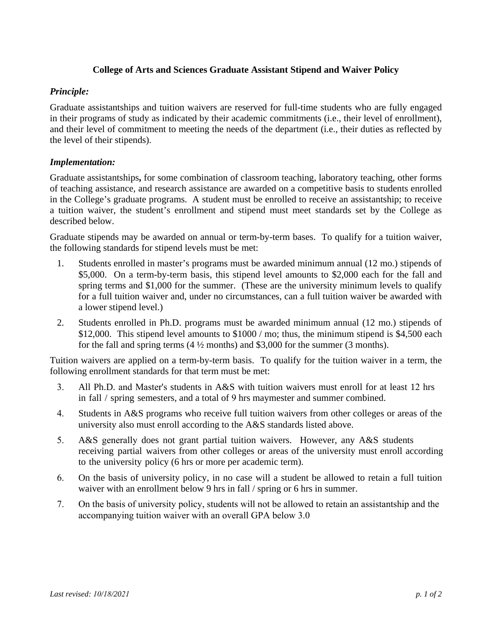# **College of Arts and Sciences Graduate Assistant Stipend and Waiver Policy**

# *Principle:*

Graduate assistantships and tuition waivers are reserved for full-time students who are fully engaged in their programs of study as indicated by their academic commitments (i.e., their level of enrollment), and their level of commitment to meeting the needs of the department (i.e., their duties as reflected by the level of their stipends).

# *Implementation:*

Graduate assistantships**,** for some combination of classroom teaching, laboratory teaching, other forms of teaching assistance, and research assistance are awarded on a competitive basis to students enrolled in the College's graduate programs. A student must be enrolled to receive an assistantship; to receive a tuition waiver, the student's enrollment and stipend must meet standards set by the College as described below.

Graduate stipends may be awarded on annual or term-by-term bases. To qualify for a tuition waiver, the following standards for stipend levels must be met:

- 1. Students enrolled in master's programs must be awarded minimum annual (12 mo.) stipends of \$5,000. On a term-by-term basis, this stipend level amounts to \$2,000 each for the fall and spring terms and \$1,000 for the summer. (These are the university minimum levels to qualify for a full tuition waiver and, under no circumstances, can a full tuition waiver be awarded with a lower stipend level.)
- 2. Students enrolled in Ph.D. programs must be awarded minimum annual (12 mo.) stipends of \$12,000. This stipend level amounts to \$1000 / mo; thus, the minimum stipend is \$4,500 each for the fall and spring terms  $(4\frac{1}{2}$  months) and \$3,000 for the summer (3 months).

Tuition waivers are applied on a term-by-term basis. To qualify for the tuition waiver in a term, the following enrollment standards for that term must be met:

- 3. All Ph.D. and Master's students in A&S with tuition waivers must enroll for at least 12 hrs in fall / spring semesters, and a total of 9 hrs maymester and summer combined.
- 4. Students in A&S programs who receive full tuition waivers from other colleges or areas of the university also must enroll according to the A&S standards listed above.
- 5. A&S generally does not grant partial tuition waivers. However, any A&S students receiving partial waivers from other colleges or areas of the university must enroll according to the university policy (6 hrs or more per academic term).
- 6. On the basis of university policy, in no case will a student be allowed to retain a full tuition waiver with an enrollment below 9 hrs in fall / spring or 6 hrs in summer.
- 7. On the basis of university policy, students will not be allowed to retain an assistantship and the accompanying tuition waiver with an overall GPA below 3.0